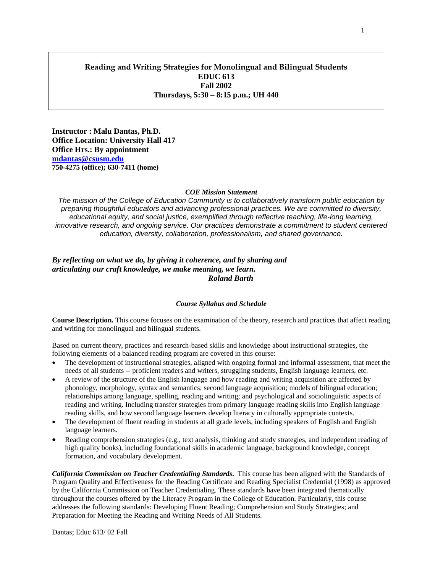# **Reading and Writing Strategies for Monolingual and Bilingual Students EDUC 613 Fall 2002 Thursdays, 5:30 – 8:15 p.m.; UH 440**

**Instructor : Malu Dantas, Ph.D. Office Location: University Hall 417 Office Hrs.: By appointment [mdantas@csusm.edu](mailto:mdantas@csusm.edu) 750-4275 (office); 630-7411 (home)**

#### *COE Mission Statement*

*The mission of the College of Education Community is to collaboratively transform public education by preparing thoughtful educators and advancing professional practices. We are committed to diversity,*  educational equity, and social justice, exemplified through reflective teaching, life-long learning, *innovative research, and ongoing service. Our practices demonstrate a commitment to student centered education, diversity, collaboration, professionalism, and shared governance.*

#### *By reflecting on what we do, by giving it coherence, and by sharing and articulating our craft knowledge, we make meaning, we learn. Roland Barth*

#### *Course Syllabus and Schedule*

**Course Description.** This course focuses on the examination of the theory, research and practices that affect reading and writing for monolingual and bilingual students.

Based on current theory, practices and research-based skills and knowledge about instructional strategies, the following elements of a balanced reading program are covered in this course:

- The development of instructional strategies, aligned with ongoing formal and informal assessment, that meet the needs of all students -- proficient readers and writers, struggling students, English language learners, etc.
- A review of the structure of the English language and how reading and writing acquisition are affected by phonology, morphology, syntax and semantics; second language acquisition; models of bilingual education; relationships among language, spelling, reading and writing; and psychological and sociolinguistic aspects of reading and writing. Including transfer strategies from primary language reading skills into English language reading skills, and how second language learners develop literacy in culturally appropriate contexts.
- The development of fluent reading in students at all grade levels, including speakers of English and English language learners.
- Reading comprehension strategies (e.g., text analysis, thinking and study strategies, and independent reading of high quality books), including foundational skills in academic language, background knowledge, concept formation, and vocabulary development.

*California Commission on Teacher Credentialing Standards***.** This course has been aligned with the Standards of Program Quality and Effectiveness for the Reading Certificate and Reading Specialist Credential (1998) as approved by the California Commission on Teacher Credentialing. These standards have been integrated thematically throughout the courses offered by the Literacy Program in the College of Education. Particularly, this course addresses the following standards: Developing Fluent Reading; Comprehension and Study Strategies; and Preparation for Meeting the Reading and Writing Needs of All Students.

Dantas; Educ 613/ 02 Fall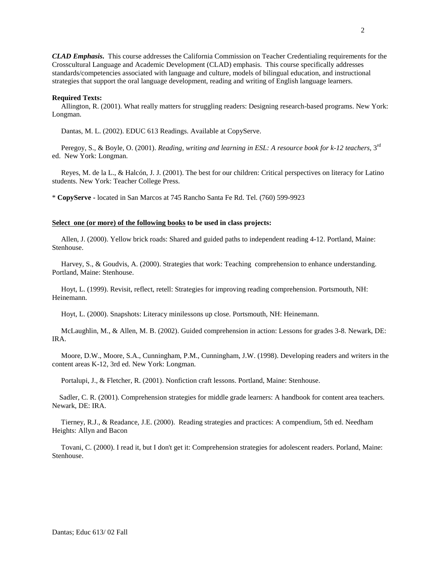*CLAD Emphasis***.** This course addresses the California Commission on Teacher Credentialing requirements for the Crosscultural Language and Academic Development (CLAD) emphasis. This course specifically addresses standards/competencies associated with language and culture, models of bilingual education, and instructional strategies that support the oral language development, reading and writing of English language learners.

#### **Required Texts:**

 Allington, R. (2001). What really matters for struggling readers: Designing research-based programs. New York: Longman.

Dantas, M. L. (2002). EDUC 613 Readings. Available at CopyServe.

Peregoy, S., & Boyle, O. (2001). *Reading, writing and learning in ESL: A resource book for k-12 teachers*, 3<sup>rd</sup> ed. New York: Longman.

 Reyes, M. de la L., & Halcón, J. J. (2001). The best for our children: Critical perspectives on literacy for Latino students. New York: Teacher College Press.

\* **CopyServe -** located in San Marcos at 745 Rancho Santa Fe Rd. Tel. (760) 599-9923

#### **Select one (or more) of the following books to be used in class projects:**

 Allen, J. (2000). Yellow brick roads: Shared and guided paths to independent reading 4-12. Portland, Maine: Stenhouse.

 Harvey, S., & Goudvis, A. (2000). Strategies that work: Teaching comprehension to enhance understanding. Portland, Maine: Stenhouse.

 Hoyt, L. (1999). Revisit, reflect, retell: Strategies for improving reading comprehension. Portsmouth, NH: Heinemann.

Hoyt, L. (2000). Snapshots: Literacy minilessons up close. Portsmouth, NH: Heinemann.

 McLaughlin, M., & Allen, M. B. (2002). Guided comprehension in action: Lessons for grades 3-8. Newark, DE: IRA.

 Moore, D.W., Moore, S.A., Cunningham, P.M., Cunningham, J.W. (1998). Developing readers and writers in the content areas K-12, 3rd ed. New York: Longman.

Portalupi, J., & Fletcher, R. (2001). Nonfiction craft lessons. Portland, Maine: Stenhouse.

 Sadler, C. R. (2001). Comprehension strategies for middle grade learners: A handbook for content area teachers. Newark, DE: IRA.

 Tierney, R.J., & Readance, J.E. (2000). Reading strategies and practices: A compendium, 5th ed. Needham Heights: Allyn and Bacon

 Tovani, C. (2000). I read it, but I don't get it: Comprehension strategies for adolescent readers. Porland, Maine: Stenhouse.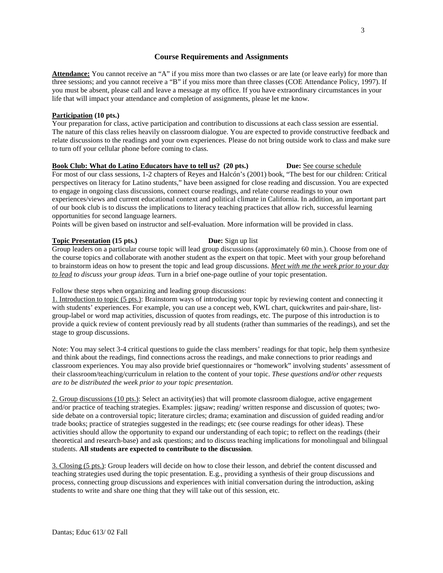#### **Course Requirements and Assignments**

**Attendance:** You cannot receive an "A" if you miss more than two classes or are late (or leave early) for more than three sessions; and you cannot receive a "B" if you miss more than three classes (COE Attendance Policy, 1997). If you must be absent, please call and leave a message at my office. If you have extraordinary circumstances in your life that will impact your attendance and completion of assignments, please let me know.

#### **Participation (10 pts.)**

Your preparation for class, active participation and contribution to discussions at each class session are essential. The nature of this class relies heavily on classroom dialogue. You are expected to provide constructive feedback and relate discussions to the readings and your own experiences. Please do not bring outside work to class and make sure to turn off your cellular phone before coming to class.

#### **Book Club: What do Latino Educators have to tell us? (20 pts.) Due: See course schedule**

For most of our class sessions, 1-2 chapters of Reyes and Halcón's (2001) book, "The best for our children: Critical perspectives on literacy for Latino students," have been assigned for close reading and discussion. You are expected to engage in ongoing class discussions, connect course readings, and relate course readings to your own experiences/views and current educational context and political climate in California. In addition, an important part of our book club is to discuss the implications to literacy teaching practices that allow rich, successful learning opportunities for second language learners.

Points will be given based on instructor and self-evaluation. More information will be provided in class.

#### **Topic Presentation** (15 pts.) **Due:** Sign up list

Group leaders on a particular course topic will lead group discussions (approximately 60 min.). Choose from one of the course topics and collaborate with another student as the expert on that topic. Meet with your group beforehand to brainstorm ideas on how to present the topic and lead group discussions. *Meet with me the week prior to your day to lead to discuss your group ideas.* Turn in a brief one-page outline of your topic presentation.

Follow these steps when organizing and leading group discussions:

1. Introduction to topic (5 pts.): Brainstorm ways of introducing your topic by reviewing content and connecting it with students' experiences. For example, you can use a concept web, KWL chart, quickwrites and pair-share, listgroup-label or word map activities, discussion of quotes from readings, etc. The purpose of this introduction is to provide a quick review of content previously read by all students (rather than summaries of the readings), and set the stage to group discussions.

Note: You may select 3-4 critical questions to guide the class members' readings for that topic, help them synthesize and think about the readings, find connections across the readings, and make connections to prior readings and classroom experiences. You may also provide brief questionnaires or "homework" involving students' assessment of their classroom/teaching/curriculum in relation to the content of your topic. *These questions and/or other requests are to be distributed the week prior to your topic presentation.*

2. Group discussions (10 pts.): Select an activity(ies) that will promote classroom dialogue, active engagement and/or practice of teaching strategies. Examples: jigsaw; reading/ written response and discussion of quotes; twoside debate on a controversial topic; literature circles; drama; examination and discussion of guided reading and/or trade books; practice of strategies suggested in the readings; etc (see course readings for other ideas). These activities should allow the opportunity to expand our understanding of each topic; to reflect on the readings (their theoretical and research-base) and ask questions; and to discuss teaching implications for monolingual and bilingual students. **All students are expected to contribute to the discussion**.

3. Closing (5 pts.): Group leaders will decide on how to close their lesson, and debrief the content discussed and teaching strategies used during the topic presentation. E.g., providing a synthesis of their group discussions and process, connecting group discussions and experiences with initial conversation during the introduction, asking students to write and share one thing that they will take out of this session, etc.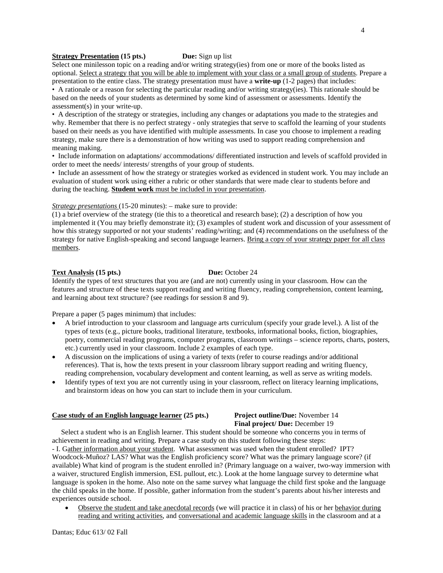## **Strategy Presentation** (15 pts.) Due: Sign up list

Select one minilesson topic on a reading and/or writing strategy(ies) from one or more of the books listed as optional. Select a strategy that you will be able to implement with your class or a small group of students. Prepare a presentation to the entire class. The strategy presentation must have a **write-up** (1-2 pages) that includes:

• A rationale or a reason for selecting the particular reading and/or writing strategy(ies). This rationale should be based on the needs of your students as determined by some kind of assessment or assessments. Identify the assessment(s) in your write-up.

• A description of the strategy or strategies, including any changes or adaptations you made to the strategies and why. Remember that there is no perfect strategy - only strategies that serve to scaffold the learning of your students based on their needs as you have identified with multiple assessments. In case you choose to implement a reading strategy, make sure there is a demonstration of how writing was used to support reading comprehension and meaning making.

• Include information on adaptations/ accommodations/ differentiated instruction and levels of scaffold provided in order to meet the needs/ interests/ strengths of your group of students.

• Include an assessment of how the strategy or strategies worked as evidenced in student work. You may include an evaluation of student work using either a rubric or other standards that were made clear to students before and during the teaching. **Student work** must be included in your presentation.

#### *Strategy presentations* (15-20 minutes): – make sure to provide:

(1) a brief overview of the strategy (tie this to a theoretical and research base); (2) a description of how you implemented it (You may briefly demonstrate it); (3) examples of student work and discussion of your assessment of how this strategy supported or not your students' reading/writing; and (4) recommendations on the usefulness of the strategy for native English-speaking and second language learners. Bring a copy of your strategy paper for all class members.

#### **Text Analysis (15 pts.) Due:** October 24

Identify the types of text structures that you are (and are not) currently using in your classroom. How can the features and structure of these texts support reading and writing fluency, reading comprehension, content learning, and learning about text structure? (see readings for session 8 and 9).

Prepare a paper (5 pages minimum) that includes:

- A brief introduction to your classroom and language arts curriculum (specify your grade level.). A list of the types of texts (e.g., picture books, traditional literature, textbooks, informational books, fiction, biographies, poetry, commercial reading programs, computer programs, classroom writings – science reports, charts, posters, etc.) currently used in your classroom. Include 2 examples of each type.
- A discussion on the implications of using a variety of texts (refer to course readings and/or additional references). That is, how the texts present in your classroom library support reading and writing fluency, reading comprehension, vocabulary development and content learning, as well as serve as writing models.
- Identify types of text you are not currently using in your classroom, reflect on literacy learning implications, and brainstorm ideas on how you can start to include them in your curriculum.

#### **Case study of an English language learner (25 pts.) Project outline/Due:** November 14

# **Final project/ Due:** December 19

 Select a student who is an English learner. This student should be someone who concerns you in terms of achievement in reading and writing. Prepare a case study on this student following these steps:

- I. Gather information about your student. What assessment was used when the student enrolled? IPT? Woodcock-Muñoz? LAS? What was the English proficiency score? What was the primary language score? (if available) What kind of program is the student enrolled in? (Primary language on a waiver, two-way immersion with a waiver, structured English immersion, ESL pullout, etc.). Look at the home language survey to determine what language is spoken in the home. Also note on the same survey what language the child first spoke and the language the child speaks in the home. If possible, gather information from the student's parents about his/her interests and experiences outside school.

• Observe the student and take anecdotal records (we will practice it in class) of his or her behavior during reading and writing activities, and conversational and academic language skills in the classroom and at a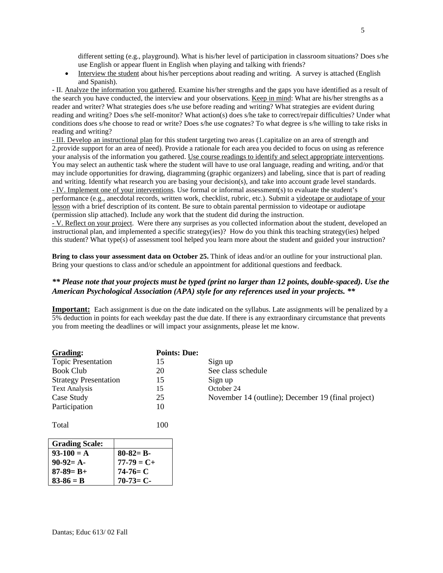different setting (e.g., playground). What is his/her level of participation in classroom situations? Does s/he use English or appear fluent in English when playing and talking with friends?

• Interview the student about his/her perceptions about reading and writing. A survey is attached (English and Spanish).

- II. Analyze the information you gathered. Examine his/her strengths and the gaps you have identified as a result of the search you have conducted, the interview and your observations. Keep in mind: What are his/her strengths as a reader and writer? What strategies does s/he use before reading and writing? What strategies are evident during reading and writing? Does s/he self-monitor? What action(s) does s/he take to correct/repair difficulties? Under what conditions does s/he choose to read or write? Does s/he use cognates? To what degree is s/he willing to take risks in reading and writing?

- III. Develop an instructional plan for this student targeting two areas (1.capitalize on an area of strength and 2.provide support for an area of need). Provide a rationale for each area you decided to focus on using as reference your analysis of the information you gathered. Use course readings to identify and select appropriate interventions. You may select an authentic task where the student will have to use oral language, reading and writing, and/or that may include opportunities for drawing, diagramming (graphic organizers) and labeling, since that is part of reading and writing. Identify what research you are basing your decision(s), and take into account grade level standards. - IV. Implement one of your interventions. Use formal or informal assessment(s) to evaluate the student's

performance (e.g., anecdotal records, written work, checklist, rubric, etc.). Submit a videotape or audiotape of your lesson with a brief description of its content. Be sure to obtain parental permission to videotape or audiotape (permission slip attached). Include any work that the student did during the instruction.

- V. Reflect on your project. Were there any surprises as you collected information about the student, developed an instructional plan, and implemented a specific strategy(ies)? How do you think this teaching strategy(ies) helped this student? What type(s) of assessment tool helped you learn more about the student and guided your instruction?

**Bring to class your assessment data on October 25.** Think of ideas and/or an outline for your instructional plan. Bring your questions to class and/or schedule an appointment for additional questions and feedback.

## *\*\* Please note that your projects must be typed (print no larger than 12 points, double-spaced). Use the American Psychological Association (APA) style for any references used in your projects. \*\**

**Important:** Each assignment is due on the date indicated on the syllabus. Late assignments will be penalized by a 5% deduction in points for each weekday past the due date. If there is any extraordinary circumstance that prevents you from meeting the deadlines or will impact your assignments, please let me know.

| <b>Grading:</b>              | <b>Points: Due:</b> |                                                    |
|------------------------------|---------------------|----------------------------------------------------|
| <b>Topic Presentation</b>    |                     | Sign up                                            |
| <b>Book Club</b>             | 20                  | See class schedule                                 |
| <b>Strategy Presentation</b> | 15                  | Sign up                                            |
| <b>Text Analysis</b>         | 15                  | October 24                                         |
| Case Study                   | 25                  | November 14 (outline); December 19 (final project) |
| Participation                | 10                  |                                                    |

Total 100

| <b>Grading Scale:</b> |                 |
|-----------------------|-----------------|
| $93-100 = A$          | $80 - 82 = B -$ |
| $90-92=$ A-           | $77 - 79 = C +$ |
| $87 - 89 = B +$       | $74-76= C$      |
| $83 - 86 = B$         | $70-73=$ C-     |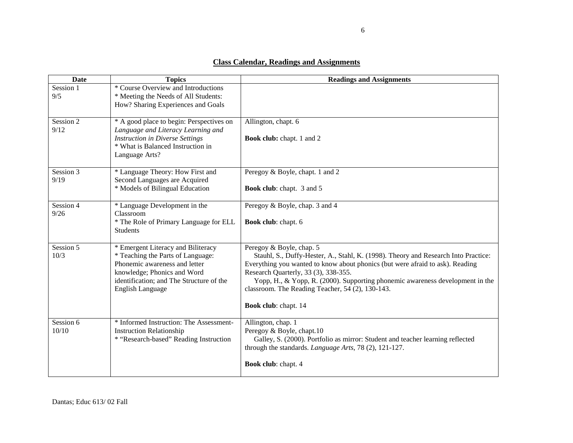# **Class Calendar, Readings and Assignments**

| <b>Date</b>        | <b>Topics</b>                                                                                                                                                                                                  | <b>Readings and Assignments</b>                                                                                                                                                                                                                                                                                                                                                                      |
|--------------------|----------------------------------------------------------------------------------------------------------------------------------------------------------------------------------------------------------------|------------------------------------------------------------------------------------------------------------------------------------------------------------------------------------------------------------------------------------------------------------------------------------------------------------------------------------------------------------------------------------------------------|
| Session 1<br>9/5   | * Course Overview and Introductions<br>* Meeting the Needs of All Students:<br>How? Sharing Experiences and Goals                                                                                              |                                                                                                                                                                                                                                                                                                                                                                                                      |
| Session 2<br>9/12  | * A good place to begin: Perspectives on<br>Language and Literacy Learning and<br><b>Instruction in Diverse Settings</b><br>* What is Balanced Instruction in<br>Language Arts?                                | Allington, chapt. 6<br><b>Book club:</b> chapt. 1 and 2                                                                                                                                                                                                                                                                                                                                              |
| Session 3<br>9/19  | * Language Theory: How First and<br>Second Languages are Acquired<br>* Models of Bilingual Education                                                                                                           | Peregoy & Boyle, chapt. 1 and 2<br><b>Book club:</b> chapt. 3 and 5                                                                                                                                                                                                                                                                                                                                  |
| Session 4<br>9/26  | * Language Development in the<br>Classroom<br>* The Role of Primary Language for ELL<br><b>Students</b>                                                                                                        | Peregoy & Boyle, chap. 3 and 4<br><b>Book club:</b> chapt. 6                                                                                                                                                                                                                                                                                                                                         |
| Session 5<br>10/3  | * Emergent Literacy and Biliteracy<br>* Teaching the Parts of Language:<br>Phonemic awareness and letter<br>knowledge; Phonics and Word<br>identification; and The Structure of the<br><b>English Language</b> | Peregoy & Boyle, chap. 5<br>Stauhl, S., Duffy-Hester, A., Stahl, K. (1998). Theory and Research Into Practice:<br>Everything you wanted to know about phonics (but were afraid to ask). Reading<br>Research Quarterly, 33 (3), 338-355.<br>Yopp, H., & Yopp, R. (2000). Supporting phonemic awareness development in the<br>classroom. The Reading Teacher, 54 (2), 130-143.<br>Book club: chapt. 14 |
| Session 6<br>10/10 | * Informed Instruction: The Assessment-<br><b>Instruction Relationship</b><br>* "Research-based" Reading Instruction                                                                                           | Allington, chap. 1<br>Peregoy & Boyle, chapt.10<br>Galley, S. (2000). Portfolio as mirror: Student and teacher learning reflected<br>through the standards. Language Arts, 78 (2), 121-127.<br>Book club: chapt. 4                                                                                                                                                                                   |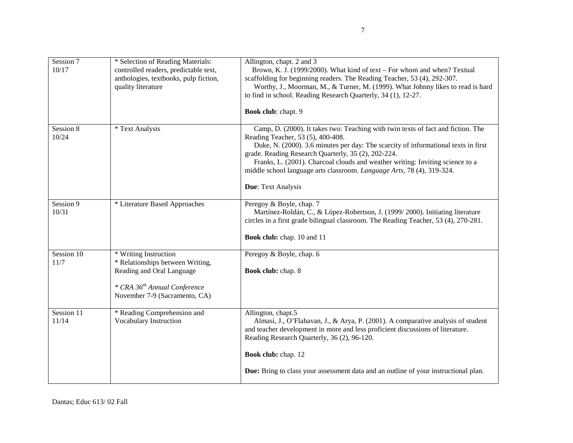| Session 7<br>10/17  | * Selection of Reading Materials:<br>controlled readers, predictable text,<br>anthologies, textbooks, pulp fiction,<br>quality literature                           | Allington, chapt. 2 and 3<br>Brown, K. J. (1999/2000). What kind of text - For whom and when? Textual<br>scaffolding for beginning readers. The Reading Teacher, 53 (4), 292-307.<br>Worthy, J., Moorman, M., & Turner, M. (1999). What Johnny likes to read is hard<br>to find in school. Reading Research Quarterly, 34 (1), 12-27.                                                                                                                                      |
|---------------------|---------------------------------------------------------------------------------------------------------------------------------------------------------------------|----------------------------------------------------------------------------------------------------------------------------------------------------------------------------------------------------------------------------------------------------------------------------------------------------------------------------------------------------------------------------------------------------------------------------------------------------------------------------|
| Session 8<br>10/24  | * Text Analysis                                                                                                                                                     | Book club: chapt. 9<br>Camp, D. (2000). It takes two: Teaching with twin texts of fact and fiction. The<br>Reading Teacher, 53 (5), 400-408.<br>Duke, N. (2000). 3.6 minutes per day: The scarcity of informational texts in first<br>grade. Reading Research Quarterly, 35 (2), 202-224.<br>Franks, L. (2001). Charcoal clouds and weather writing: Inviting science to a<br>middle school language arts classroom. Language Arts, 78 (4), 319-324.<br>Due: Text Analysis |
| Session 9<br>10/31  | * Literature Based Approaches                                                                                                                                       | Peregoy & Boyle, chap. 7<br>Martínez-Roldán, C., & López-Robertson, J. (1999/2000). Initiating literature<br>circles in a first grade bilingual classroom. The Reading Teacher, 53 (4), 270-281.<br>Book club: chap. 10 and 11                                                                                                                                                                                                                                             |
| Session 10<br>11/7  | * Writing Instruction<br>* Relationships between Writing,<br>Reading and Oral Language<br>* CRA 36 <sup>th</sup> Annual Conference<br>November 7-9 (Sacramento, CA) | Peregoy & Boyle, chap. 6<br><b>Book club:</b> chap. 8                                                                                                                                                                                                                                                                                                                                                                                                                      |
| Session 11<br>11/14 | * Reading Comprehension and<br>Vocabulary Instruction                                                                                                               | Allington, chapt.5<br>Almasi, J., O'Flahavan, J., & Arya, P. (2001). A comparative analysis of student<br>and teacher development in more and less proficient discussions of literature.<br>Reading Research Quarterly, 36 (2), 96-120.<br>Book club: chap. 12<br>Due: Bring to class your assessment data and an outline of your instructional plan.                                                                                                                      |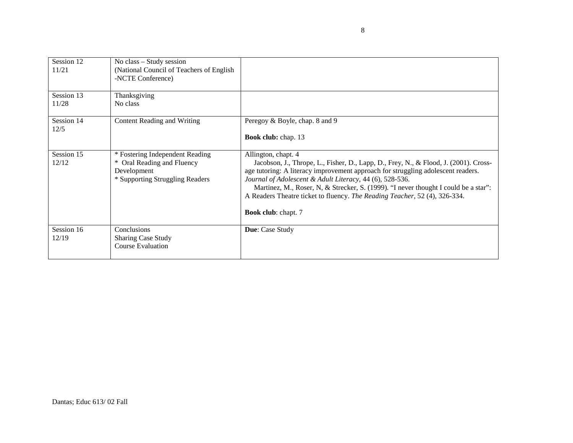| Session 12<br>11/21 | No class – Study session<br>(National Council of Teachers of English)<br>-NCTE Conference)                         |                                                                                                                                                                                                                                                                                                                                                                                                                                                         |
|---------------------|--------------------------------------------------------------------------------------------------------------------|---------------------------------------------------------------------------------------------------------------------------------------------------------------------------------------------------------------------------------------------------------------------------------------------------------------------------------------------------------------------------------------------------------------------------------------------------------|
| Session 13<br>11/28 | Thanksgiving<br>No class                                                                                           |                                                                                                                                                                                                                                                                                                                                                                                                                                                         |
| Session 14<br>12/5  | Content Reading and Writing                                                                                        | Peregoy & Boyle, chap. 8 and 9<br><b>Book club:</b> chap. 13                                                                                                                                                                                                                                                                                                                                                                                            |
| Session 15<br>12/12 | * Fostering Independent Reading<br>Oral Reading and Fluency<br>*<br>Development<br>* Supporting Struggling Readers | Allington, chapt. 4<br>Jacobson, J., Thrope, L., Fisher, D., Lapp, D., Frey, N., & Flood, J. (2001). Cross-<br>age tutoring: A literacy improvement approach for struggling adolescent readers.<br>Journal of Adolescent & Adult Literacy, 44 (6), 528-536.<br>Martinez, M., Roser, N. & Strecker, S. (1999). "I never thought I could be a star":<br>A Readers Theatre ticket to fluency. The Reading Teacher, 52 (4), 326-334.<br>Book club: chapt. 7 |
| Session 16<br>12/19 | Conclusions<br><b>Sharing Case Study</b><br><b>Course Evaluation</b>                                               | Due: Case Study                                                                                                                                                                                                                                                                                                                                                                                                                                         |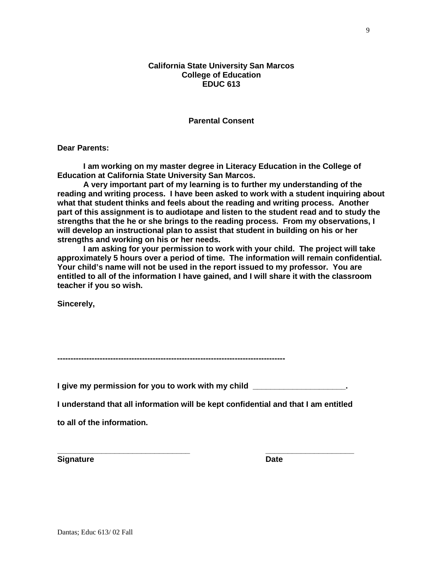## **California State University San Marcos College of Education EDUC 613**

**Parental Consent**

**Dear Parents:**

**I am working on my master degree in Literacy Education in the College of Education at California State University San Marcos.** 

**A very important part of my learning is to further my understanding of the reading and writing process. I have been asked to work with a student inquiring about what that student thinks and feels about the reading and writing process. Another part of this assignment is to audiotape and listen to the student read and to study the strengths that the he or she brings to the reading process. From my observations, I will develop an instructional plan to assist that student in building on his or her strengths and working on his or her needs.**

**I am asking for your permission to work with your child. The project will take approximately 5 hours over a period of time. The information will remain confidential. Your child's name will not be used in the report issued to my professor. You are entitled to all of the information I have gained, and I will share it with the classroom teacher if you so wish.**

**Sincerely,**

**--------------------------------------------------------------------------------------**

**I give my permission for you to work with my child \_\_\_\_\_\_\_\_\_\_\_\_\_\_\_\_\_\_\_\_\_.**

**I understand that all information will be kept confidential and that I am entitled** 

**to all of the information.**

**Signature Date** 

**\_\_\_\_\_\_\_\_\_\_\_\_\_\_\_\_\_\_\_\_\_\_\_\_\_\_\_\_\_\_ \_\_\_\_\_\_\_\_\_\_\_\_\_\_\_\_\_\_\_\_**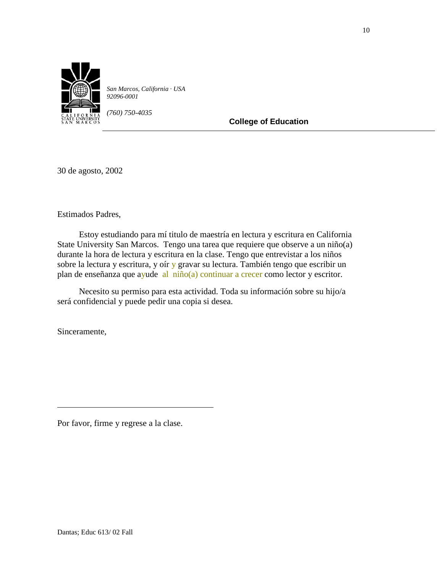

*San Marcos, California · USA 92096-0001*

*(760) 750-4035*

**College of Education**

30 de agosto, 2002

Estimados Padres,

 Estoy estudiando para mí titulo de maestría en lectura y escritura en California State University San Marcos. Tengo una tarea que requiere que observe a un niño(a) durante la hora de lectura y escritura en la clase. Tengo que entrevistar a los niños sobre la lectura y escritura, y oír y gravar su lectura. También tengo que escribir un plan de enseñanza que ayude al niño(a) continuar a crecer como lector y escritor.

 Necesito su permiso para esta actividad. Toda su información sobre su hijo/a será confidencial y puede pedir una copia si desea.

Sinceramente,

Por favor, firme y regrese a la clase.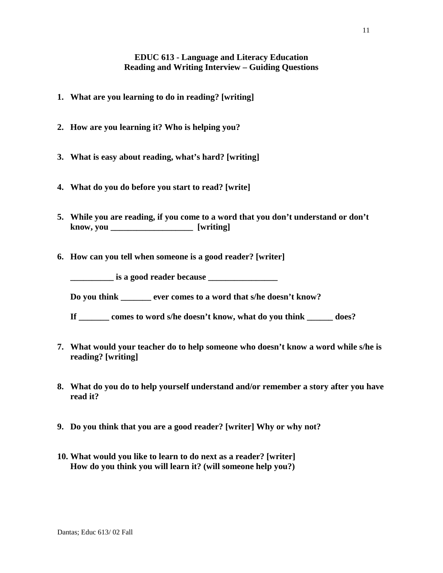# **EDUC 613 - Language and Literacy Education Reading and Writing Interview – Guiding Questions**

- **1. What are you learning to do in reading? [writing]**
- **2. How are you learning it? Who is helping you?**
- **3. What is easy about reading, what's hard? [writing]**
- **4. What do you do before you start to read? [write]**
- **5. While you are reading, if you come to a word that you don't understand or don't know, you \_\_\_\_\_\_\_\_\_\_\_\_\_\_\_\_\_\_\_ [writing]**
- **6. How can you tell when someone is a good reader? [writer]**

**\_\_\_\_\_\_\_\_\_\_\_\_\_ is a good reader because \_\_\_\_\_\_\_\_\_\_\_\_\_\_\_\_\_** 

**Do you think \_\_\_\_\_\_\_ ever comes to a word that s/he doesn't know?** 

- **If \_\_\_\_\_\_\_ comes to word s/he doesn't know, what do you think \_\_\_\_\_\_ does?**
- **7. What would your teacher do to help someone who doesn't know a word while s/he is reading? [writing]**
- **8. What do you do to help yourself understand and/or remember a story after you have read it?**
- **9. Do you think that you are a good reader? [writer] Why or why not?**
- **10. What would you like to learn to do next as a reader? [writer] How do you think you will learn it? (will someone help you?)**